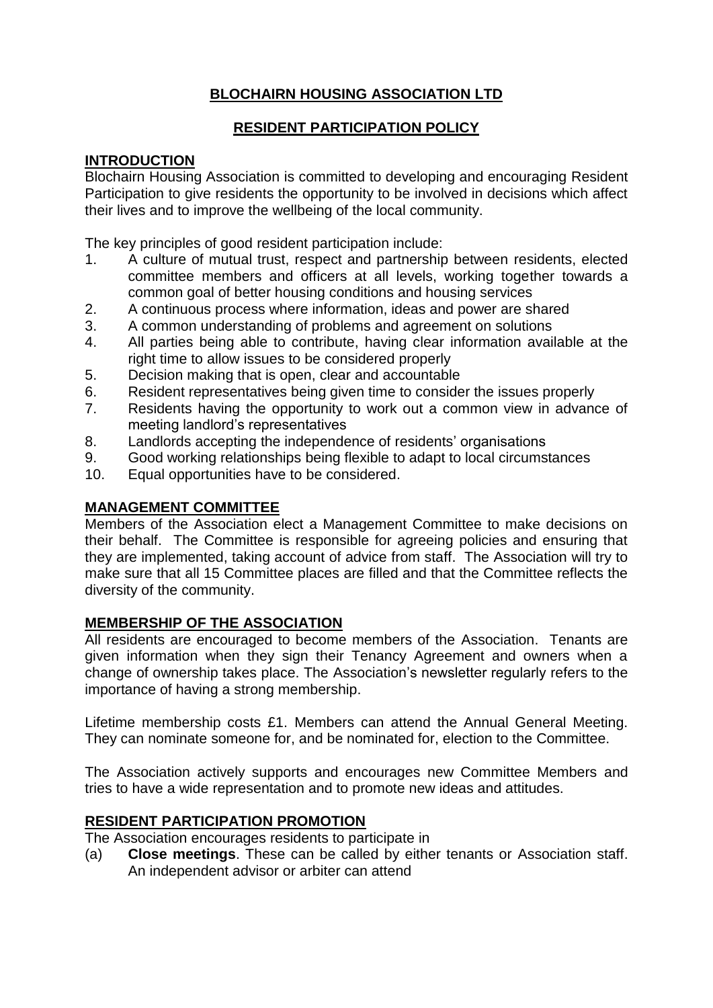# **BLOCHAIRN HOUSING ASSOCIATION LTD**

#### **RESIDENT PARTICIPATION POLICY**

### **INTRODUCTION**

Blochairn Housing Association is committed to developing and encouraging Resident Participation to give residents the opportunity to be involved in decisions which affect their lives and to improve the wellbeing of the local community.

The key principles of good resident participation include:

- 1. A culture of mutual trust, respect and partnership between residents, elected committee members and officers at all levels, working together towards a common goal of better housing conditions and housing services
- 2. A continuous process where information, ideas and power are shared
- 3. A common understanding of problems and agreement on solutions
- 4. All parties being able to contribute, having clear information available at the right time to allow issues to be considered properly
- 5. Decision making that is open, clear and accountable
- 6. Resident representatives being given time to consider the issues properly
- 7. Residents having the opportunity to work out a common view in advance of meeting landlord's representatives
- 8. Landlords accepting the independence of residents' organisations
- 9. Good working relationships being flexible to adapt to local circumstances
- 10. Equal opportunities have to be considered.

### **MANAGEMENT COMMITTEE**

Members of the Association elect a Management Committee to make decisions on their behalf. The Committee is responsible for agreeing policies and ensuring that they are implemented, taking account of advice from staff. The Association will try to make sure that all 15 Committee places are filled and that the Committee reflects the diversity of the community.

## **MEMBERSHIP OF THE ASSOCIATION**

All residents are encouraged to become members of the Association. Tenants are given information when they sign their Tenancy Agreement and owners when a change of ownership takes place. The Association's newsletter regularly refers to the importance of having a strong membership.

Lifetime membership costs £1. Members can attend the Annual General Meeting. They can nominate someone for, and be nominated for, election to the Committee.

The Association actively supports and encourages new Committee Members and tries to have a wide representation and to promote new ideas and attitudes.

## **RESIDENT PARTICIPATION PROMOTION**

The Association encourages residents to participate in

(a) **Close meetings**. These can be called by either tenants or Association staff. An independent advisor or arbiter can attend